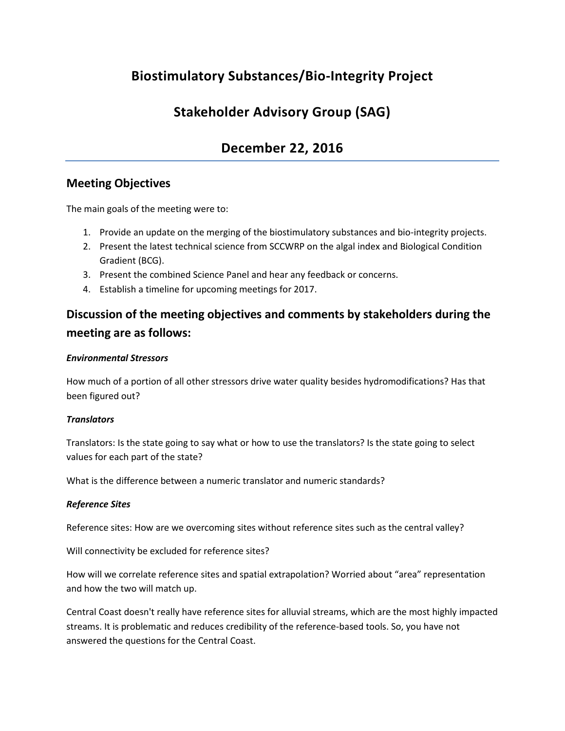# **Biostimulatory Substances/Bio-Integrity Project**

# **Stakeholder Advisory Group (SAG)**

# **December 22, 2016**

# **Meeting Objectives**

The main goals of the meeting were to:

- 1. Provide an update on the merging of the biostimulatory substances and bio-integrity projects.
- 2. Present the latest technical science from SCCWRP on the algal index and Biological Condition Gradient (BCG).
- 3. Present the combined Science Panel and hear any feedback or concerns.
- 4. Establish a timeline for upcoming meetings for 2017.

# **Discussion of the meeting objectives and comments by stakeholders during the meeting are as follows:**

#### *Environmental Stressors*

How much of a portion of all other stressors drive water quality besides hydromodifications? Has that been figured out?

#### *Translators*

Translators: Is the state going to say what or how to use the translators? Is the state going to select values for each part of the state?

What is the difference between a numeric translator and numeric standards?

#### *Reference Sites*

Reference sites: How are we overcoming sites without reference sites such as the central valley?

Will connectivity be excluded for reference sites?

How will we correlate reference sites and spatial extrapolation? Worried about "area" representation and how the two will match up.

Central Coast doesn't really have reference sites for alluvial streams, which are the most highly impacted streams. It is problematic and reduces credibility of the reference-based tools. So, you have not answered the questions for the Central Coast.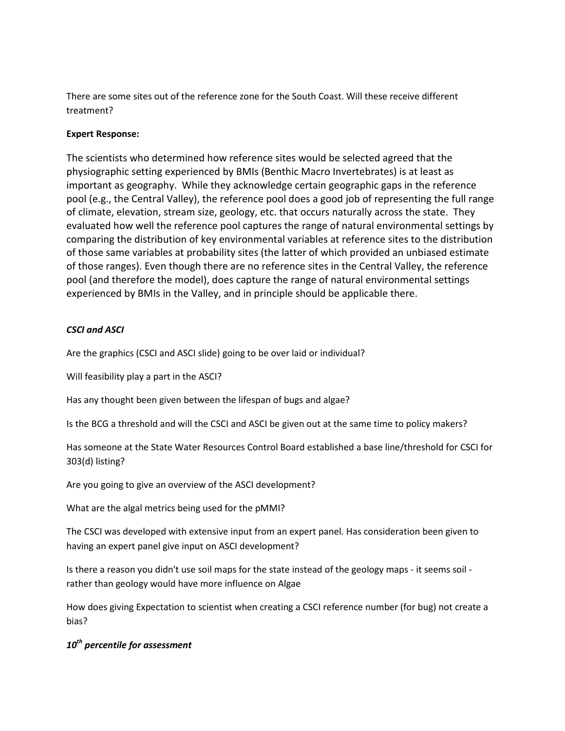There are some sites out of the reference zone for the South Coast. Will these receive different treatment?

## **Expert Response:**

The scientists who determined how reference sites would be selected agreed that the physiographic setting experienced by BMIs (Benthic Macro Invertebrates) is at least as important as geography. While they acknowledge certain geographic gaps in the reference pool (e.g., the Central Valley), the reference pool does a good job of representing the full range of climate, elevation, stream size, geology, etc. that occurs naturally across the state. They evaluated how well the reference pool captures the range of natural environmental settings by comparing the distribution of key environmental variables at reference sites to the distribution of those same variables at probability sites (the latter of which provided an unbiased estimate of those ranges). Even though there are no reference sites in the Central Valley, the reference pool (and therefore the model), does capture the range of natural environmental settings experienced by BMIs in the Valley, and in principle should be applicable there.

# *CSCI and ASCI*

Are the graphics (CSCI and ASCI slide) going to be over laid or individual?

Will feasibility play a part in the ASCI?

Has any thought been given between the lifespan of bugs and algae?

Is the BCG a threshold and will the CSCI and ASCI be given out at the same time to policy makers?

Has someone at the State Water Resources Control Board established a base line/threshold for CSCI for 303(d) listing?

Are you going to give an overview of the ASCI development?

What are the algal metrics being used for the pMMI?

The CSCI was developed with extensive input from an expert panel. Has consideration been given to having an expert panel give input on ASCI development?

Is there a reason you didn't use soil maps for the state instead of the geology maps - it seems soil rather than geology would have more influence on Algae

How does giving Expectation to scientist when creating a CSCI reference number (for bug) not create a bias?

# *10th percentile for assessment*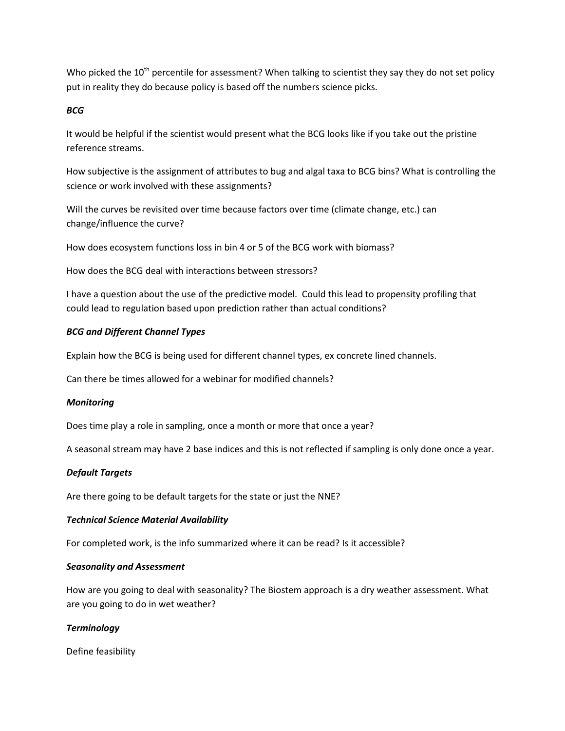Who picked the 10<sup>th</sup> percentile for assessment? When talking to scientist they say they do not set policy put in reality they do because policy is based off the numbers science picks.

## *BCG*

It would be helpful if the scientist would present what the BCG looks like if you take out the pristine reference streams.

How subjective is the assignment of attributes to bug and algal taxa to BCG bins? What is controlling the science or work involved with these assignments?

Will the curves be revisited over time because factors over time (climate change, etc.) can change/influence the curve?

How does ecosystem functions loss in bin 4 or 5 of the BCG work with biomass?

How does the BCG deal with interactions between stressors?

I have a question about the use of the predictive model. Could this lead to propensity profiling that could lead to regulation based upon prediction rather than actual conditions?

## *BCG and Different Channel Types*

Explain how the BCG is being used for different channel types, ex concrete lined channels.

Can there be times allowed for a webinar for modified channels?

#### *Monitoring*

Does time play a role in sampling, once a month or more that once a year?

A seasonal stream may have 2 base indices and this is not reflected if sampling is only done once a year.

#### *Default Targets*

Are there going to be default targets for the state or just the NNE?

#### *Technical Science Material Availability*

For completed work, is the info summarized where it can be read? Is it accessible?

#### *Seasonality and Assessment*

How are you going to deal with seasonality? The Biostem approach is a dry weather assessment. What are you going to do in wet weather?

#### *Terminology*

Define feasibility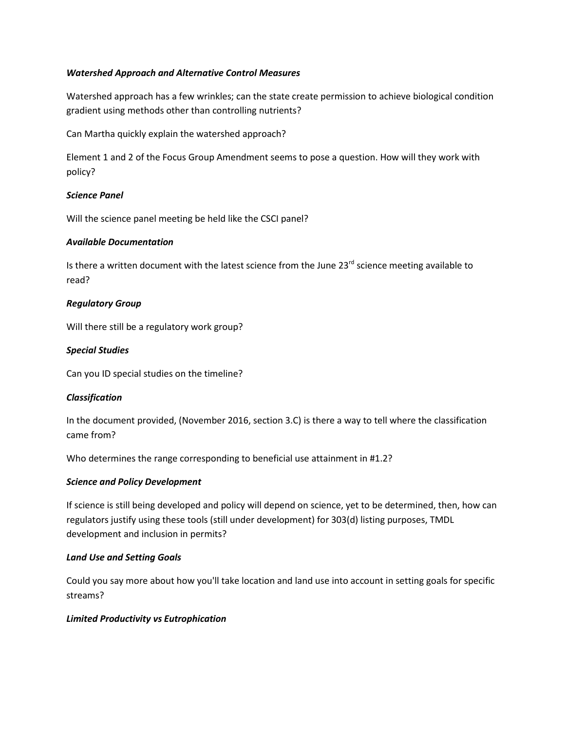## *Watershed Approach and Alternative Control Measures*

Watershed approach has a few wrinkles; can the state create permission to achieve biological condition gradient using methods other than controlling nutrients?

Can Martha quickly explain the watershed approach?

Element 1 and 2 of the Focus Group Amendment seems to pose a question. How will they work with policy?

#### *Science Panel*

Will the science panel meeting be held like the CSCI panel?

#### *Available Documentation*

Is there a written document with the latest science from the June  $23^{rd}$  science meeting available to read?

## *Regulatory Group*

Will there still be a regulatory work group?

## *Special Studies*

Can you ID special studies on the timeline?

#### *Classification*

In the document provided, (November 2016, section 3.C) is there a way to tell where the classification came from?

Who determines the range corresponding to beneficial use attainment in #1.2?

# *Science and Policy Development*

If science is still being developed and policy will depend on science, yet to be determined, then, how can regulators justify using these tools (still under development) for 303(d) listing purposes, TMDL development and inclusion in permits?

#### *Land Use and Setting Goals*

Could you say more about how you'll take location and land use into account in setting goals for specific streams?

#### *Limited Productivity vs Eutrophication*